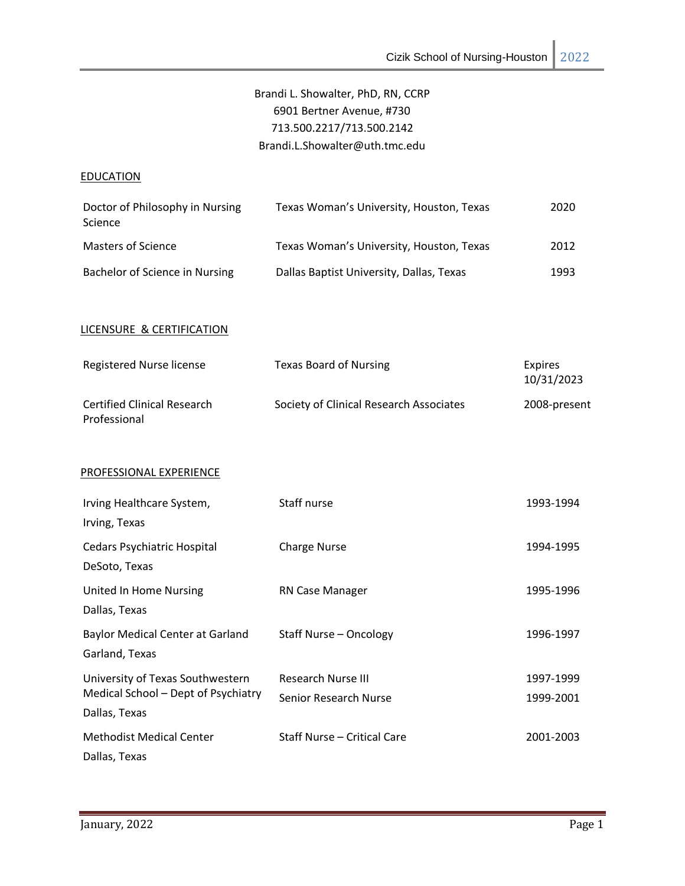# Brandi L. Showalter, PhD, RN, CCRP 6901 Bertner Avenue, #730 713.500.2217/713.500.2142 Brandi.L.Showalter@uth.tmc.edu

#### **EDUCATION**

| Doctor of Philosophy in Nursing<br>Science | Texas Woman's University, Houston, Texas | 2020 |
|--------------------------------------------|------------------------------------------|------|
| Masters of Science                         | Texas Woman's University, Houston, Texas | 2012 |
| Bachelor of Science in Nursing             | Dallas Baptist University, Dallas, Texas | 1993 |

## LICENSURE & CERTIFICATION

| Registered Nurse license                           | Texas Board of Nursing                  | Expires<br>10/31/2023 |
|----------------------------------------------------|-----------------------------------------|-----------------------|
| <b>Certified Clinical Research</b><br>Professional | Society of Clinical Research Associates | 2008-present          |

## PROFESSIONAL EXPERIENCE

| Irving Healthcare System,<br>Irving, Texas                                               | Staff nurse                                 | 1993-1994              |
|------------------------------------------------------------------------------------------|---------------------------------------------|------------------------|
| Cedars Psychiatric Hospital<br>DeSoto, Texas                                             | <b>Charge Nurse</b>                         | 1994-1995              |
| United In Home Nursing<br>Dallas, Texas                                                  | RN Case Manager                             | 1995-1996              |
| <b>Baylor Medical Center at Garland</b><br>Garland, Texas                                | Staff Nurse - Oncology                      | 1996-1997              |
| University of Texas Southwestern<br>Medical School – Dept of Psychiatry<br>Dallas, Texas | Research Nurse III<br>Senior Research Nurse | 1997-1999<br>1999-2001 |
| <b>Methodist Medical Center</b><br>Dallas, Texas                                         | Staff Nurse - Critical Care                 | 2001-2003              |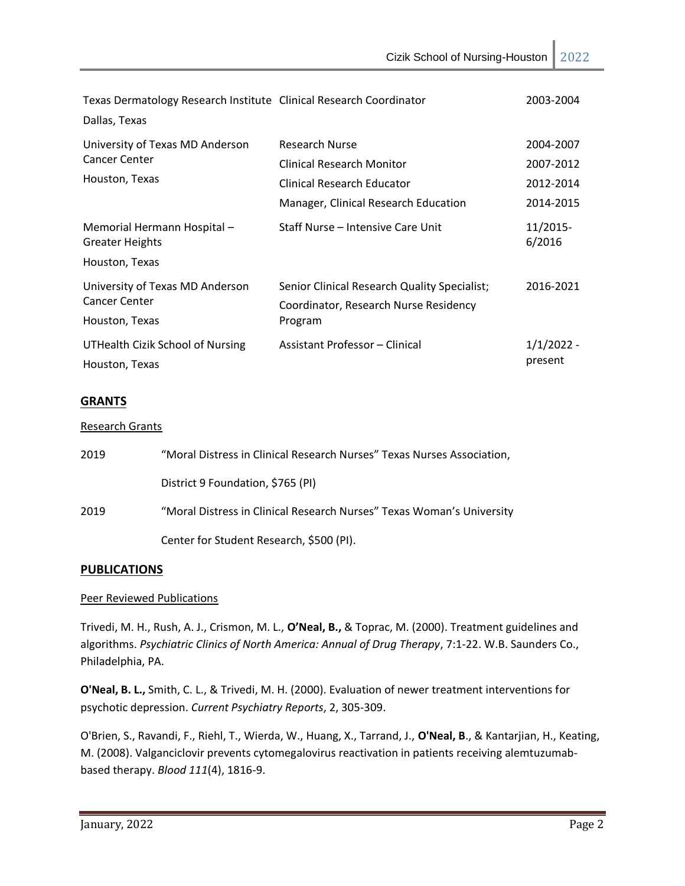| Texas Dermatology Research Institute Clinical Research Coordinator        |                                              | 2003-2004               |
|---------------------------------------------------------------------------|----------------------------------------------|-------------------------|
| Dallas, Texas                                                             |                                              |                         |
| University of Texas MD Anderson<br><b>Cancer Center</b><br>Houston, Texas | Research Nurse                               | 2004-2007               |
|                                                                           | <b>Clinical Research Monitor</b>             | 2007-2012               |
|                                                                           | Clinical Research Educator                   | 2012-2014               |
|                                                                           | Manager, Clinical Research Education         | 2014-2015               |
| Memorial Hermann Hospital -<br><b>Greater Heights</b>                     | Staff Nurse – Intensive Care Unit            | 11/2015-<br>6/2016      |
| Houston, Texas                                                            |                                              |                         |
| University of Texas MD Anderson                                           | Senior Clinical Research Quality Specialist; | 2016-2021               |
| <b>Cancer Center</b>                                                      | Coordinator, Research Nurse Residency        |                         |
| Houston, Texas                                                            | Program                                      |                         |
| UTHealth Cizik School of Nursing<br>Houston, Texas                        | Assistant Professor - Clinical               | $1/1/2022 -$<br>present |

# **GRANTS**

#### Research Grants

| 2019 | "Moral Distress in Clinical Research Nurses" Texas Nurses Association, |
|------|------------------------------------------------------------------------|
|      | District 9 Foundation, \$765 (PI)                                      |
| 2019 | "Moral Distress in Clinical Research Nurses" Texas Woman's University  |
|      | Center for Student Research, \$500 (PI).                               |

# **PUBLICATIONS**

# Peer Reviewed Publications

Trivedi, M. H., Rush, A. J., Crismon, M. L., **O'Neal, B.,** & Toprac, M. (2000). Treatment guidelines and algorithms. *Psychiatric Clinics of North America: Annual of Drug Therapy*, 7:1-22. W.B. Saunders Co., Philadelphia, PA.

**O'Neal, B. L.,** Smith, C. L., & Trivedi, M. H. (2000). Evaluation of newer treatment interventions for psychotic depression. *Current Psychiatry Reports*, 2, 305-309.

O'Brien, S., Ravandi, F., Riehl, T., Wierda, W., Huang, X., Tarrand, J., **O'Neal, B**., & Kantarjian, H., Keating, M. (2008). Valganciclovir prevents cytomegalovirus reactivation in patients receiving alemtuzumabbased therapy. *Blood 111*(4), 1816-9.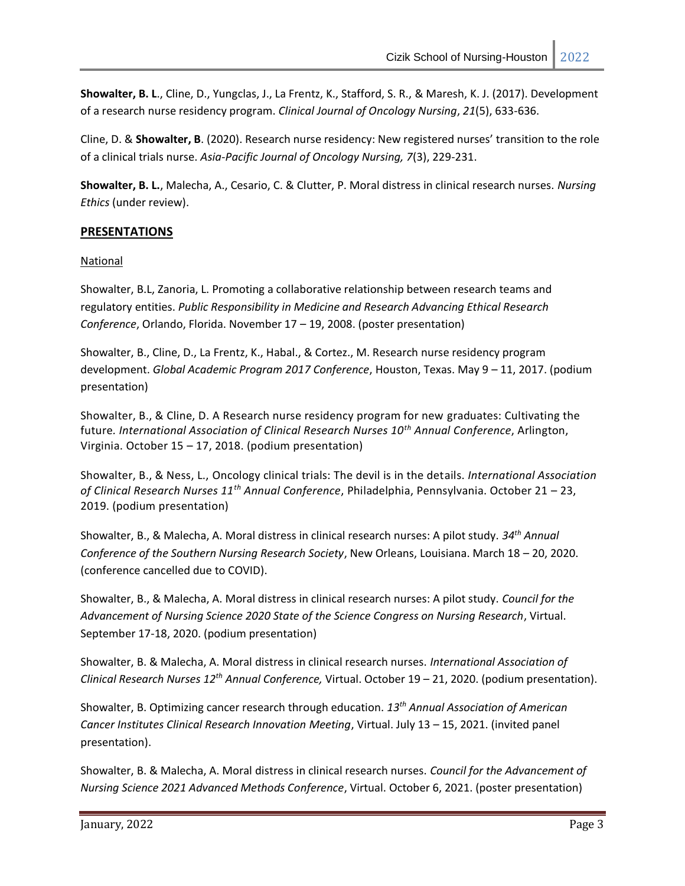**Showalter, B. L**., Cline, D., Yungclas, J., La Frentz, K., Stafford, S. R., & Maresh, K. J. (2017). Development of a research nurse residency program. *Clinical Journal of Oncology Nursing*, *21*(5), 633-636.

Cline, D. & **Showalter, B**. (2020). Research nurse residency: New registered nurses' transition to the role of a clinical trials nurse. *Asia-Pacific Journal of Oncology Nursing, 7*(3), 229-231.

**Showalter, B. L.**, Malecha, A., Cesario, C. & Clutter, P. Moral distress in clinical research nurses. *Nursing Ethics* (under review).

# **PRESENTATIONS**

# National

Showalter, B.L, Zanoria, L. Promoting a collaborative relationship between research teams and regulatory entities. *Public Responsibility in Medicine and Research Advancing Ethical Research Conference*, Orlando, Florida. November 17 – 19, 2008. (poster presentation)

Showalter, B., Cline, D., La Frentz, K., Habal., & Cortez., M. Research nurse residency program development. *Global Academic Program 2017 Conference*, Houston, Texas. May 9 – 11, 2017. (podium presentation)

Showalter, B., & Cline, D. A Research nurse residency program for new graduates: Cultivating the future*. International Association of Clinical Research Nurses 10th Annual Conference*, Arlington, Virginia. October 15 – 17, 2018. (podium presentation)

Showalter, B., & Ness, L., Oncology clinical trials: The devil is in the details. *International Association of Clinical Research Nurses 11th Annual Conference*, Philadelphia, Pennsylvania. October 21 – 23, 2019. (podium presentation)

Showalter, B., & Malecha, A. Moral distress in clinical research nurses: A pilot study. *34th Annual Conference of the Southern Nursing Research Society*, New Orleans, Louisiana. March 18 – 20, 2020. (conference cancelled due to COVID).

Showalter, B., & Malecha, A. Moral distress in clinical research nurses: A pilot study. *Council for the Advancement of Nursing Science 2020 State of the Science Congress on Nursing Research*, Virtual. September 17-18, 2020. (podium presentation)

Showalter, B. & Malecha, A. Moral distress in clinical research nurses. *International Association of Clinical Research Nurses 12th Annual Conference,* Virtual. October 19 – 21, 2020. (podium presentation).

Showalter, B. Optimizing cancer research through education. *13th Annual Association of American Cancer Institutes Clinical Research Innovation Meeting*, Virtual. July 13 – 15, 2021. (invited panel presentation).

Showalter, B. & Malecha, A. Moral distress in clinical research nurses. *Council for the Advancement of Nursing Science 2021 Advanced Methods Conference*, Virtual. October 6, 2021. (poster presentation)